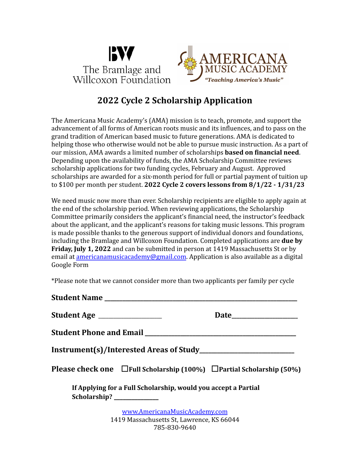



# **2022 Cycle 2 Scholarship Application**

The Americana Music Academy's (AMA) mission is to teach, promote, and support the advancement of all forms of American roots music and its influences, and to pass on the grand tradition of American based music to future generations. AMA is dedicated to helping those who otherwise would not be able to pursue music instruction. As a part of our mission, AMA awards a limited number of scholarships **based on financial need**. Depending upon the availability of funds, the AMA Scholarship Committee reviews scholarship applications for two funding cycles, February and August. Approved scholarships are awarded for a six-month period for full or partial payment of tuition up to \$100 per month per student. **2022 Cycle 2 covers lessons from 8/1/22 - 1/31/23**

We need music now more than ever. Scholarship recipients are eligible to apply again at the end of the scholarship period. When reviewing applications, the Scholarship Committee primarily considers the applicant's financial need, the instructor's feedback about the applicant, and the applicant's reasons for taking music lessons. This program is made possible thanks to the generous support of individual donors and foundations, including the Bramlage and Willcoxon Foundation. Completed applications are **due by Friday, July 1, 2022** and can be submitted in person at 1419 Massachusetts St or by email at [americanamusicacademy@gmail.com.](mailto:americanamusicacademy@gmail.com) Application is also available as a digital Google Form

\*Please note that we cannot consider more than two applicants per family per cycle

| Student Age ___________________                                              |                                                                                         |
|------------------------------------------------------------------------------|-----------------------------------------------------------------------------------------|
| <b>Student Phone and Email</b>                                               |                                                                                         |
|                                                                              |                                                                                         |
|                                                                              | <b>Please check one</b> $\Box$ Full Scholarship (100%) $\Box$ Partial Scholarship (50%) |
| If Applying for a Full Scholarship, would you accept a Partial               |                                                                                         |
| www.AmericanaMusicAcademy.com<br>$1410$ Messachusetts Ct. Laurence IC ((044) |                                                                                         |

1419 Massachusetts St, Lawrence, KS 66044 785-830-9640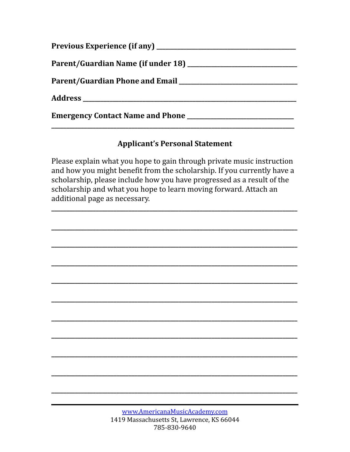### **Applicant's Personal Statement**

Please explain what you hope to gain through private music instruction and how you might benefit from the scholarship. If you currently have a scholarship, please include how you have progressed as a result of the scholarship and what you hope to learn moving forward. Attach an additional page as necessary.

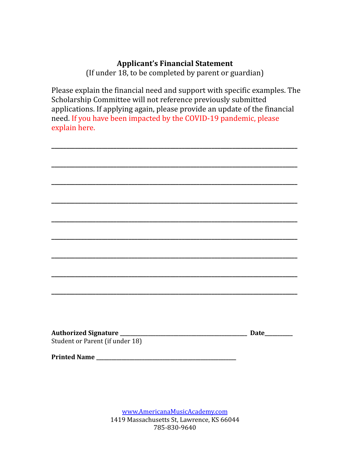#### **Applicant's Financial Statement**

(If under 18, to be completed by parent or guardian)

Please explain the financial need and support with specific examples. The Scholarship Committee will not reference previously submitted applications. If applying again, please provide an update of the financial need. If you have been impacted by the COVID-19 pandemic, please explain here.

| Student or Parent (if under 18) |  |  |
|---------------------------------|--|--|
|                                 |  |  |
|                                 |  |  |

[www.AmericanaMusicAcademy.com](http://www.americanamusicacademy.com) 1419 Massachusetts St, Lawrence, KS 66044 785-830-9640